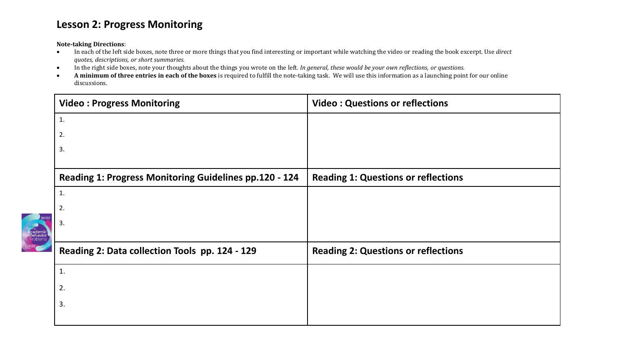## **Lesson 2: Progress Monitoring**

**Note-taking Directions**:

- In each of the left side boxes, note three or more things that you find interesting or important while watching the video or reading the book excerpt. Use *direct quotes, descriptions, or short summaries.*
- In the right side boxes, note your thoughts about the things you wrote on the left. *In general, these would be your own reflections, or questions.*
- **A minimum of three entries in each of the boxes** is required to fulfill the note-taking task. We will use this information as a launching point for our online discussions.

|                                                         | <b>Video: Progress Monitoring</b>                      | <b>Video: Questions or reflections</b>     |
|---------------------------------------------------------|--------------------------------------------------------|--------------------------------------------|
|                                                         | 1.                                                     |                                            |
|                                                         | 2.                                                     |                                            |
|                                                         | 3.                                                     |                                            |
|                                                         | Reading 1: Progress Monitoring Guidelines pp.120 - 124 | <b>Reading 1: Questions or reflections</b> |
|                                                         | $\mathbf{1}$ .                                         |                                            |
|                                                         | 2.                                                     |                                            |
| A <mark>cademic</mark><br>J <b>Behavior</b><br>Problems | 3.                                                     |                                            |
|                                                         | Reading 2: Data collection Tools pp. 124 - 129         | <b>Reading 2: Questions or reflections</b> |
|                                                         | $\mathbf{1}$ .                                         |                                            |
|                                                         | 2.                                                     |                                            |
|                                                         | 3.                                                     |                                            |
|                                                         |                                                        |                                            |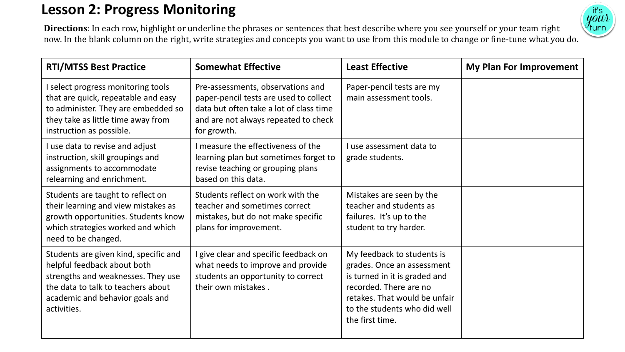## **Lesson 2: Progress Monitoring**



**Directions**: In each row, highlight or underline the phrases or sentences that best describe where you see yourself or your team right now. In the blank column on the right, write strategies and concepts you want to use from this module to change or fine-tune what you do.

| <b>RTI/MTSS Best Practice</b>                                                                                                                                                                      | <b>Somewhat Effective</b>                                                                                                                                                     | <b>Least Effective</b>                                                                                                                                                                                  | My Plan For Improvement |
|----------------------------------------------------------------------------------------------------------------------------------------------------------------------------------------------------|-------------------------------------------------------------------------------------------------------------------------------------------------------------------------------|---------------------------------------------------------------------------------------------------------------------------------------------------------------------------------------------------------|-------------------------|
| I select progress monitoring tools<br>that are quick, repeatable and easy<br>to administer. They are embedded so<br>they take as little time away from<br>instruction as possible.                 | Pre-assessments, observations and<br>paper-pencil tests are used to collect<br>data but often take a lot of class time<br>and are not always repeated to check<br>for growth. | Paper-pencil tests are my<br>main assessment tools.                                                                                                                                                     |                         |
| I use data to revise and adjust<br>instruction, skill groupings and<br>assignments to accommodate<br>relearning and enrichment.                                                                    | I measure the effectiveness of the<br>learning plan but sometimes forget to<br>revise teaching or grouping plans<br>based on this data.                                       | I use assessment data to<br>grade students.                                                                                                                                                             |                         |
| Students are taught to reflect on<br>their learning and view mistakes as<br>growth opportunities. Students know<br>which strategies worked and which<br>need to be changed.                        | Students reflect on work with the<br>teacher and sometimes correct<br>mistakes, but do not make specific<br>plans for improvement.                                            | Mistakes are seen by the<br>teacher and students as<br>failures. It's up to the<br>student to try harder.                                                                                               |                         |
| Students are given kind, specific and<br>helpful feedback about both<br>strengths and weaknesses. They use<br>the data to talk to teachers about<br>academic and behavior goals and<br>activities. | give clear and specific feedback on<br>what needs to improve and provide<br>students an opportunity to correct<br>their own mistakes.                                         | My feedback to students is<br>grades. Once an assessment<br>is turned in it is graded and<br>recorded. There are no<br>retakes. That would be unfair<br>to the students who did well<br>the first time. |                         |